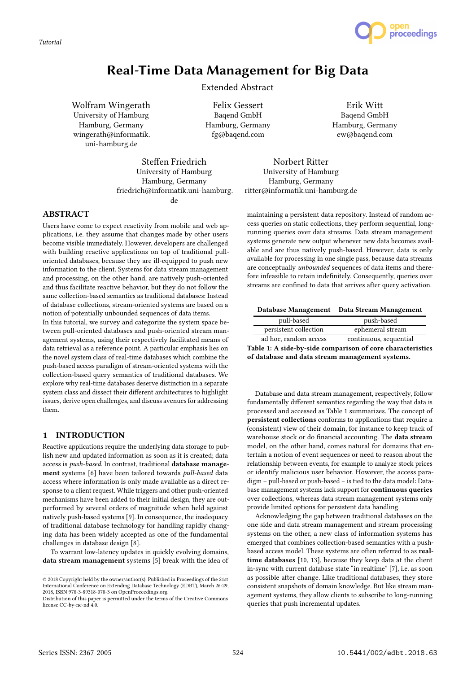*Tutorial*



# Real-Time Data Management for Big Data

Extended Abstract

Wolfram Wingerath University of Hamburg Hamburg, Germany wingerath@informatik. uni-hamburg.de

Felix Gessert Baqend GmbH Hamburg, Germany fg@baqend.com

Erik Witt Baqend GmbH Hamburg, Germany ew@baqend.com

friedrich@informatik.uni-hamburg. Norbert Ritter University of Hamburg Hamburg, Germany ritter@informatik.uni-hamburg.de

> maintaining a persistent data repository. Instead of random access queries on static collections, they perform sequential, longrunning queries over data streams. Data stream management systems generate new output whenever new data becomes available and are thus natively push-based. However, data is only available for processing in one single pass, because data streams are conceptually unbounded sequences of data items and therefore infeasible to retain indefinitely. Consequently, queries over streams are confined to data that arrives after query activation.

## ABSTRACT Users have come to expect reactivity from mobile and web ap-

plications, i.e. they assume that changes made by other users become visible immediately. However, developers are challenged with building reactive applications on top of traditional pulloriented databases, because they are ill-equipped to push new information to the client. Systems for data stream management and processing, on the other hand, are natively push-oriented and thus facilitate reactive behavior, but they do not follow the same collection-based semantics as traditional databases: Instead of database collections, stream-oriented systems are based on a notion of potentially unbounded sequences of data items.

Steffen Friedrich University of Hamburg Hamburg, Germany

de

In this tutorial, we survey and categorize the system space between pull-oriented databases and push-oriented stream management systems, using their respectively facilitated means of data retrieval as a reference point. A particular emphasis lies on the novel system class of real-time databases which combine the push-based access paradigm of stream-oriented systems with the collection-based query semantics of traditional databases. We explore why real-time databases deserve distinction in a separate system class and dissect their different architectures to highlight issues, derive open challenges, and discuss avenues for addressing them.

## 1 INTRODUCTION

Reactive applications require the underlying data storage to publish new and updated information as soon as it is created; data access is push-based. In contrast, traditional database management systems [6] have been tailored towards pull-based data access where information is only made available as a direct response to a client request. While triggers and other push-oriented mechanisms have been added to their initial design, they are outperformed by several orders of magnitude when held against natively push-based systems [9]. In consequence, the inadequacy of traditional database technology for handling rapidly changing data has been widely accepted as one of the fundamental challenges in database design [8].

To warrant low-latency updates in quickly evolving domains, data stream management systems [5] break with the idea of

Database Management Data Stream Management

| pull-based            | push-based             |  |
|-----------------------|------------------------|--|
| persistent collection | ephemeral stream       |  |
| ad hoc, random access | continuous, sequential |  |

Table 1: A side-by-side comparison of core characteristics of database and data stream management systems.

Database and data stream management, respectively, follow fundamentally different semantics regarding the way that data is processed and accessed as Table 1 summarizes. The concept of persistent collections conforms to applications that require a (consistent) view of their domain, for instance to keep track of warehouse stock or do financial accounting. The data stream model, on the other hand, comes natural for domains that entertain a notion of event sequences or need to reason about the relationship between events, for example to analyze stock prices or identify malicious user behavior. However, the access paradigm – pull-based or push-based – is tied to the data model: Database management systems lack support for continuous queries over collections, whereas data stream management systems only provide limited options for persistent data handling.

Acknowledging the gap between traditional databases on the one side and data stream management and stream processing systems on the other, a new class of information systems has emerged that combines collection-based semantics with a pushbased access model. These systems are often referred to as realtime databases [10, 13], because they keep data at the client in-sync with current database state "in realtime" [7], i.e. as soon as possible after change. Like traditional databases, they store consistent snapshots of domain knowledge. But like stream management systems, they allow clients to subscribe to long-running queries that push incremental updates.

<sup>©</sup> 2018 Copyright held by the owner/author(s). Published in Proceedings of the 21st International Conference on Extending Database Technology (EDBT), March 26-29, 2018, ISBN 978-3-89318-078-3 on OpenProceedings.org.

Distribution of this paper is permitted under the terms of the Creative Commons license CC-by-nc-nd 4.0.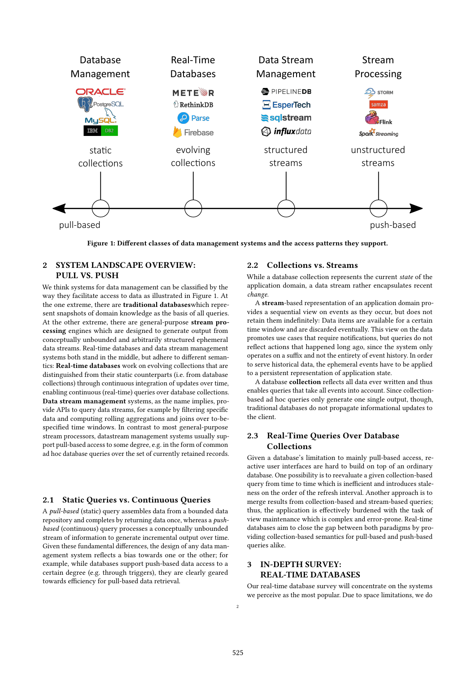

Figure 1: Different classes of data management systems and the access patterns they support.

## 2 SYSTEM LANDSCAPE OVERVIEW: PULL VS. PUSH

We think systems for data management can be classified by the way they facilitate access to data as illustrated in Figure 1. At the one extreme, there are traditional databaseswhich represent snapshots of domain knowledge as the basis of all queries. At the other extreme, there are general-purpose stream processing engines which are designed to generate output from conceptually unbounded and arbitrarily structured ephemeral data streams. Real-time databases and data stream management systems both stand in the middle, but adhere to different semantics: Real-time databases work on evolving collections that are distinguished from their static counterparts (i.e. from database collections) through continuous integration of updates over time, enabling continuous (real-time) queries over database collections. Data stream management systems, as the name implies, provide APIs to query data streams, for example by filtering specific data and computing rolling aggregations and joins over to-bespecified time windows. In contrast to most general-purpose stream processors, datastream management systems usually support pull-based access to some degree, e.g. in the form of common ad hoc database queries over the set of currently retained records.

#### 2.1 Static Queries vs. Continuous Queries

A pull-based (static) query assembles data from a bounded data repository and completes by returning data once, whereas a pushbased (continuous) query processes a conceptually unbounded stream of information to generate incremental output over time. Given these fundamental differences, the design of any data management system reflects a bias towards one or the other; for example, while databases support push-based data access to a certain degree (e.g. through triggers), they are clearly geared towards efficiency for pull-based data retrieval.

#### 2.2 Collections vs. Streams

While a database collection represents the current state of the application domain, a data stream rather encapsulates recent change.

A stream-based representation of an application domain provides a sequential view on events as they occur, but does not retain them indefinitely: Data items are available for a certain time window and are discarded eventually. This view on the data promotes use cases that require notifications, but queries do not reflect actions that happened long ago, since the system only operates on a suffix and not the entirety of event history. In order to serve historical data, the ephemeral events have to be applied to a persistent representation of application state.

A database collection reflects all data ever written and thus enables queries that take all events into account. Since collectionbased ad hoc queries only generate one single output, though, traditional databases do not propagate informational updates to the client.

### 2.3 Real-Time Queries Over Database Collections

Given a database's limitation to mainly pull-based access, reactive user interfaces are hard to build on top of an ordinary database. One possibility is to reevaluate a given collection-based query from time to time which is inefficient and introduces staleness on the order of the refresh interval. Another approach is to merge results from collection-based and stream-based queries; thus, the application is effectively burdened with the task of view maintenance which is complex and error-prone. Real-time databases aim to close the gap between both paradigms by providing collection-based semantics for pull-based and push-based queries alike.

## 3 IN-DEPTH SURVEY: REAL-TIME DATABASES

Our real-time database survey will concentrate on the systems we perceive as the most popular. Due to space limitations, we do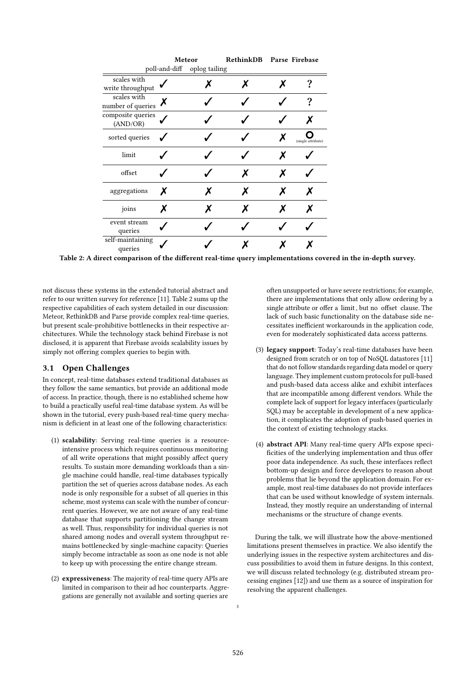|                                                      | Meteor |                             | RethinkDB | Parse Firebase |                    |
|------------------------------------------------------|--------|-----------------------------|-----------|----------------|--------------------|
|                                                      |        | poll-and-diff oplog tailing |           |                |                    |
| scales with<br>write throughput                      |        | X                           | х         | x              |                    |
| scales with<br>number of queries $\boldsymbol{\chi}$ |        |                             |           |                | ?                  |
| composite queries<br>(AND/OR)                        |        |                             |           |                |                    |
| sorted queries                                       |        |                             |           | х              | (single attribute) |
| limit                                                |        |                             |           | x              |                    |
| offset                                               |        |                             | X         | x              |                    |
| aggregations                                         | X      | х                           | x         | X              | X                  |
| joins                                                | х      | х                           | х         | X              | X                  |
| event stream<br>queries                              |        |                             |           |                |                    |
| self-maintaining<br>queries                          |        |                             |           |                |                    |

Table 2: A direct comparison of the different real-time query implementations covered in the in-depth survey.

not discuss these systems in the extended tutorial abstract and refer to our written survey for reference [11]. Table 2 sums up the respective capabilities of each system detailed in our discussion: Meteor, RethinkDB and Parse provide complex real-time queries, but present scale-prohibitive bottlenecks in their respective architectures. While the technology stack behind Firebase is not disclosed, it is apparent that Firebase avoids scalability issues by simply not offering complex queries to begin with.

#### 3.1 Open Challenges

In concept, real-time databases extend traditional databases as they follow the same semantics, but provide an additional mode of access. In practice, though, there is no established scheme how to build a practically useful real-time database system. As will be shown in the tutorial, every push-based real-time query mechanism is deficient in at least one of the following characteristics:

- (1) scalability: Serving real-time queries is a resourceintensive process which requires continuous monitoring of all write operations that might possibly affect query results. To sustain more demanding workloads than a single machine could handle, real-time databases typically partition the set of queries across database nodes. As each node is only responsible for a subset of all queries in this scheme, most systems can scale with the number of concurrent queries. However, we are not aware of any real-time database that supports partitioning the change stream as well. Thus, responsibility for individual queries is not shared among nodes and overall system throughput remains bottlenecked by single-machine capacity: Queries simply become intractable as soon as one node is not able to keep up with processing the entire change stream.
- (2) expressiveness: The majority of real-time query APIs are limited in comparison to their ad hoc counterparts. Aggregations are generally not available and sorting queries are

often unsupported or have severe restrictions; for example, there are implementations that only allow ordering by a single attribute or offer a limit, but no offset clause. The lack of such basic functionality on the database side necessitates inefficient workarounds in the application code, even for moderately sophisticated data access patterns.

- (3) legacy support: Today's real-time databases have been designed from scratch or on top of NoSQL datastores [11] that do not follow standards regarding data model or query language. They implement custom protocols for pull-based and push-based data access alike and exhibit interfaces that are incompatible among different vendors. While the complete lack of support for legacy interfaces (particularly SQL) may be acceptable in development of a new application, it complicates the adoption of push-based queries in the context of existing technology stacks.
- (4) abstract API: Many real-time query APIs expose speci ficities of the underlying implementation and thus offer poor data independence. As such, these interfaces reflect bottom-up design and force developers to reason about problems that lie beyond the application domain. For example, most real-time databases do not provide interfaces that can be used without knowledge of system internals. Instead, they mostly require an understanding of internal mechanisms or the structure of change events.

During the talk, we will illustrate how the above-mentioned limitations present themselves in practice. We also identify the underlying issues in the respective system architectures and discuss possibilities to avoid them in future designs. In this context, we will discuss related technology (e.g. distributed stream processing engines [12]) and use them as a source of inspiration for resolving the apparent challenges.